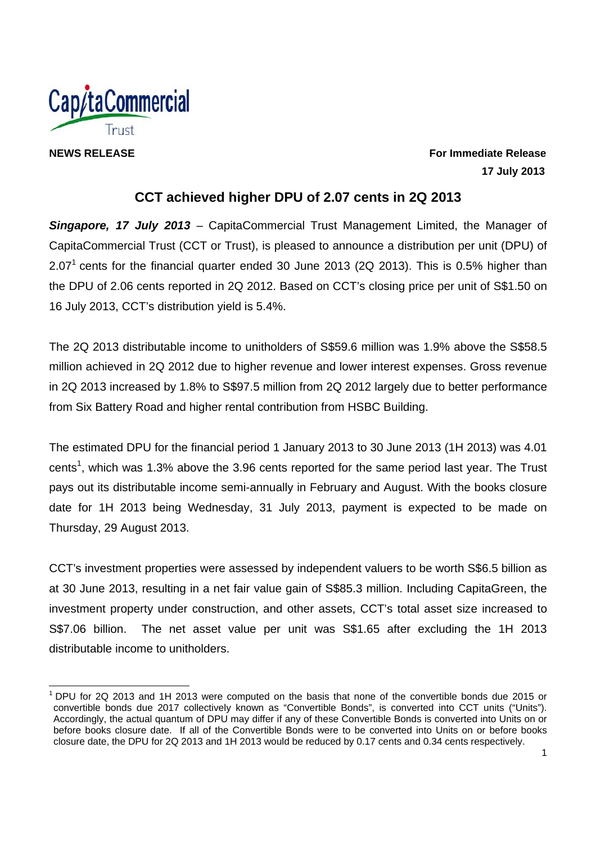

# **NEWS RELEASE** For Immediate Release **For Immediate Release 17 July 2013**

## **CCT achieved higher DPU of 2.07 cents in 2Q 2013**

*Singapore, 17 July 2013* – CapitaCommercial Trust Management Limited, the Manager of CapitaCommercial Trust (CCT or Trust), is pleased to announce a distribution per unit (DPU) of 2.07<sup>1</sup> cents for the financial quarter ended 30 June 2013 (2Q 2013). This is 0.5% higher than the DPU of 2.06 cents reported in 2Q 2012. Based on CCT's closing price per unit of S\$1.50 on 16 July 2013, CCT's distribution yield is 5.4%.

The 2Q 2013 distributable income to unitholders of S\$59.6 million was 1.9% above the S\$58.5 million achieved in 2Q 2012 due to higher revenue and lower interest expenses. Gross revenue in 2Q 2013 increased by 1.8% to S\$97.5 million from 2Q 2012 largely due to better performance from Six Battery Road and higher rental contribution from HSBC Building.

The estimated DPU for the financial period 1 January 2013 to 30 June 2013 (1H 2013) was 4.01 cents<sup>1</sup>, which was 1.3% above the 3.96 cents reported for the same period last year. The Trust pays out its distributable income semi-annually in February and August. With the books closure date for 1H 2013 being Wednesday, 31 July 2013, payment is expected to be made on Thursday, 29 August 2013.

CCT's investment properties were assessed by independent valuers to be worth S\$6.5 billion as at 30 June 2013, resulting in a net fair value gain of S\$85.3 million. Including CapitaGreen, the investment property under construction, and other assets, CCT's total asset size increased to S\$7.06 billion. The net asset value per unit was S\$1.65 after excluding the 1H 2013 distributable income to unitholders.

<sup>-</sup>1 DPU for 2Q 2013 and 1H 2013 were computed on the basis that none of the convertible bonds due 2015 or convertible bonds due 2017 collectively known as "Convertible Bonds", is converted into CCT units ("Units"). Accordingly, the actual quantum of DPU may differ if any of these Convertible Bonds is converted into Units on or before books closure date. If all of the Convertible Bonds were to be converted into Units on or before books closure date, the DPU for 2Q 2013 and 1H 2013 would be reduced by 0.17 cents and 0.34 cents respectively.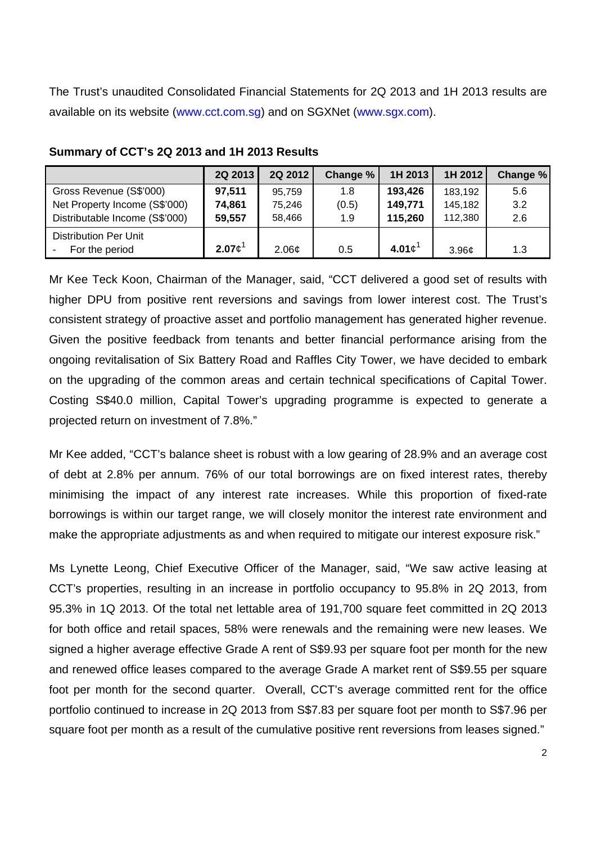The Trust's unaudited Consolidated Financial Statements for 2Q 2013 and 1H 2013 results are available on its website (www.cct.com.sg) and on SGXNet (www.sgx.com).

|                                | 2Q 2013            | 2Q 2012 | Change % | 1H 2013 | 1H 2012           | Change % |
|--------------------------------|--------------------|---------|----------|---------|-------------------|----------|
| Gross Revenue (S\$'000)        | 97,511             | 95,759  | 1.8      | 193,426 | 183,192           | 5.6      |
| Net Property Income (S\$'000)  | 74,861             | 75,246  | (0.5)    | 149,771 | 145,182           | 3.2      |
| Distributable Income (S\$'000) | 59,557             | 58,466  | 1.9      | 115,260 | 112,380           | 2.6      |
| <b>Distribution Per Unit</b>   |                    |         |          |         |                   |          |
| For the period                 | 2.07c <sup>1</sup> | 2.06¢   | 0.5      | 4.01c   | 3.96 <sub>c</sub> | 1.3      |

#### **Summary of CCT's 2Q 2013 and 1H 2013 Results**

Mr Kee Teck Koon, Chairman of the Manager, said, "CCT delivered a good set of results with higher DPU from positive rent reversions and savings from lower interest cost. The Trust's consistent strategy of proactive asset and portfolio management has generated higher revenue. Given the positive feedback from tenants and better financial performance arising from the ongoing revitalisation of Six Battery Road and Raffles City Tower, we have decided to embark on the upgrading of the common areas and certain technical specifications of Capital Tower. Costing S\$40.0 million, Capital Tower's upgrading programme is expected to generate a projected return on investment of 7.8%."

Mr Kee added, "CCT's balance sheet is robust with a low gearing of 28.9% and an average cost of debt at 2.8% per annum. 76% of our total borrowings are on fixed interest rates, thereby minimising the impact of any interest rate increases. While this proportion of fixed-rate borrowings is within our target range, we will closely monitor the interest rate environment and make the appropriate adjustments as and when required to mitigate our interest exposure risk."

Ms Lynette Leong, Chief Executive Officer of the Manager, said, "We saw active leasing at CCT's properties, resulting in an increase in portfolio occupancy to 95.8% in 2Q 2013, from 95.3% in 1Q 2013. Of the total net lettable area of 191,700 square feet committed in 2Q 2013 for both office and retail spaces, 58% were renewals and the remaining were new leases. We signed a higher average effective Grade A rent of S\$9.93 per square foot per month for the new and renewed office leases compared to the average Grade A market rent of S\$9.55 per square foot per month for the second quarter. Overall, CCT's average committed rent for the office portfolio continued to increase in 2Q 2013 from S\$7.83 per square foot per month to S\$7.96 per square foot per month as a result of the cumulative positive rent reversions from leases signed."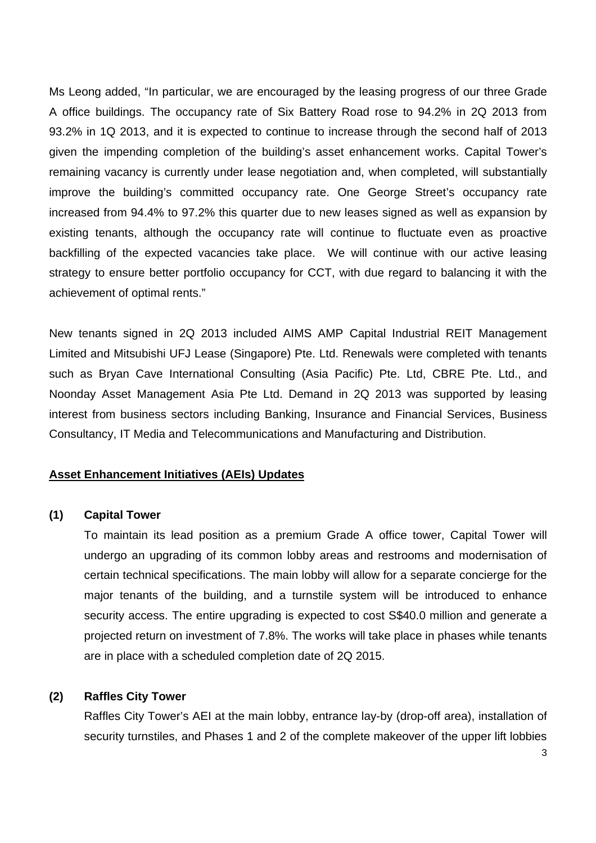Ms Leong added, "In particular, we are encouraged by the leasing progress of our three Grade A office buildings. The occupancy rate of Six Battery Road rose to 94.2% in 2Q 2013 from 93.2% in 1Q 2013, and it is expected to continue to increase through the second half of 2013 given the impending completion of the building's asset enhancement works. Capital Tower's remaining vacancy is currently under lease negotiation and, when completed, will substantially improve the building's committed occupancy rate. One George Street's occupancy rate increased from 94.4% to 97.2% this quarter due to new leases signed as well as expansion by existing tenants, although the occupancy rate will continue to fluctuate even as proactive backfilling of the expected vacancies take place. We will continue with our active leasing strategy to ensure better portfolio occupancy for CCT, with due regard to balancing it with the achievement of optimal rents."

New tenants signed in 2Q 2013 included AIMS AMP Capital Industrial REIT Management Limited and Mitsubishi UFJ Lease (Singapore) Pte. Ltd. Renewals were completed with tenants such as Bryan Cave International Consulting (Asia Pacific) Pte. Ltd, CBRE Pte. Ltd., and Noonday Asset Management Asia Pte Ltd. Demand in 2Q 2013 was supported by leasing interest from business sectors including Banking, Insurance and Financial Services, Business Consultancy, IT Media and Telecommunications and Manufacturing and Distribution.

## **Asset Enhancement Initiatives (AEIs) Updates**

## **(1) Capital Tower**

To maintain its lead position as a premium Grade A office tower, Capital Tower will undergo an upgrading of its common lobby areas and restrooms and modernisation of certain technical specifications. The main lobby will allow for a separate concierge for the major tenants of the building, and a turnstile system will be introduced to enhance security access. The entire upgrading is expected to cost S\$40.0 million and generate a projected return on investment of 7.8%. The works will take place in phases while tenants are in place with a scheduled completion date of 2Q 2015.

## **(2) Raffles City Tower**

Raffles City Tower's AEI at the main lobby, entrance lay-by (drop-off area), installation of security turnstiles, and Phases 1 and 2 of the complete makeover of the upper lift lobbies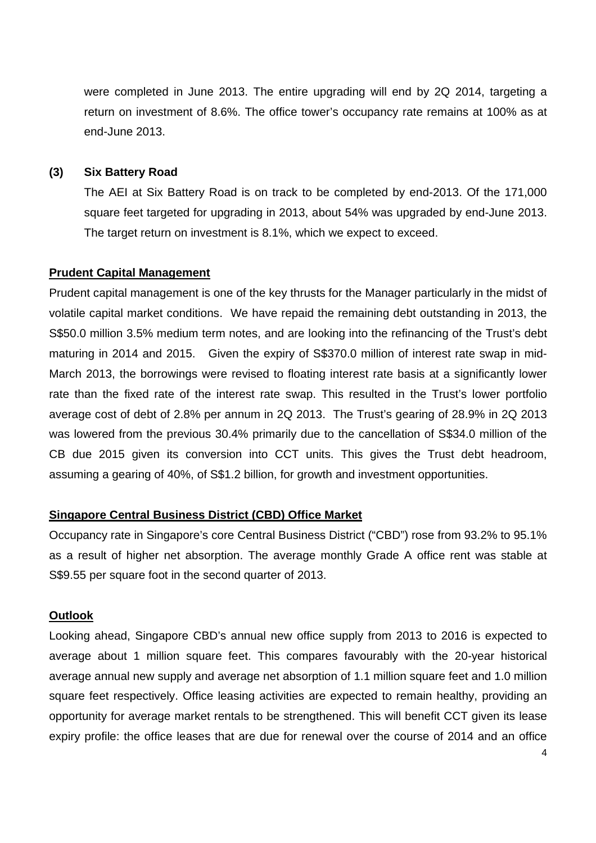were completed in June 2013. The entire upgrading will end by 2Q 2014, targeting a return on investment of 8.6%. The office tower's occupancy rate remains at 100% as at end-June 2013.

#### **(3) Six Battery Road**

The AEI at Six Battery Road is on track to be completed by end-2013. Of the 171,000 square feet targeted for upgrading in 2013, about 54% was upgraded by end-June 2013. The target return on investment is 8.1%, which we expect to exceed.

## **Prudent Capital Management**

Prudent capital management is one of the key thrusts for the Manager particularly in the midst of volatile capital market conditions. We have repaid the remaining debt outstanding in 2013, the S\$50.0 million 3.5% medium term notes, and are looking into the refinancing of the Trust's debt maturing in 2014 and 2015. Given the expiry of S\$370.0 million of interest rate swap in mid-March 2013, the borrowings were revised to floating interest rate basis at a significantly lower rate than the fixed rate of the interest rate swap. This resulted in the Trust's lower portfolio average cost of debt of 2.8% per annum in 2Q 2013. The Trust's gearing of 28.9% in 2Q 2013 was lowered from the previous 30.4% primarily due to the cancellation of S\$34.0 million of the CB due 2015 given its conversion into CCT units. This gives the Trust debt headroom, assuming a gearing of 40%, of S\$1.2 billion, for growth and investment opportunities.

## **Singapore Central Business District (CBD) Office Market**

Occupancy rate in Singapore's core Central Business District ("CBD") rose from 93.2% to 95.1% as a result of higher net absorption. The average monthly Grade A office rent was stable at S\$9.55 per square foot in the second quarter of 2013.

#### **Outlook**

Looking ahead, Singapore CBD's annual new office supply from 2013 to 2016 is expected to average about 1 million square feet. This compares favourably with the 20-year historical average annual new supply and average net absorption of 1.1 million square feet and 1.0 million square feet respectively. Office leasing activities are expected to remain healthy, providing an opportunity for average market rentals to be strengthened. This will benefit CCT given its lease expiry profile: the office leases that are due for renewal over the course of 2014 and an office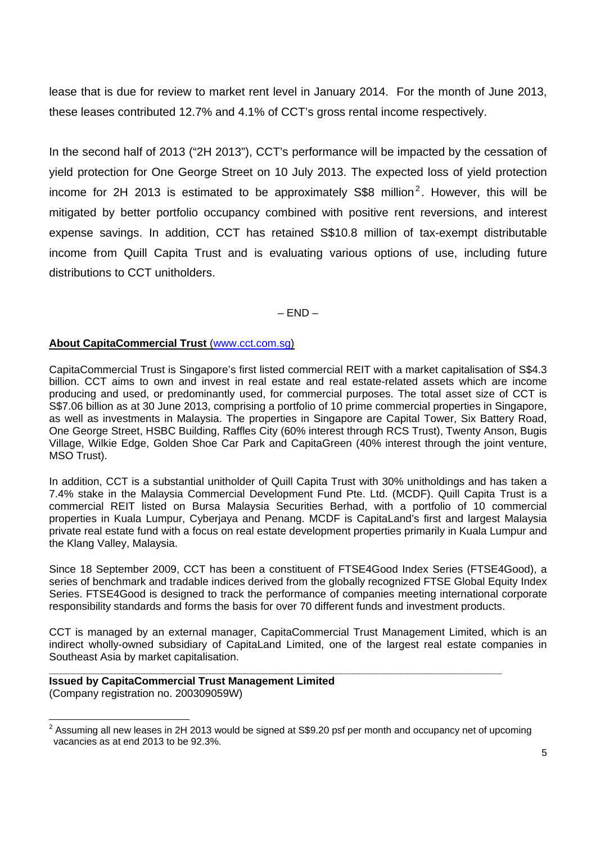lease that is due for review to market rent level in January 2014. For the month of June 2013, these leases contributed 12.7% and 4.1% of CCT's gross rental income respectively.

In the second half of 2013 ("2H 2013"), CCT's performance will be impacted by the cessation of yield protection for One George Street on 10 July 2013. The expected loss of yield protection income for 2H 2013 is estimated to be approximately  $\text{S}_6^88$  million<sup>2</sup>. However, this will be mitigated by better portfolio occupancy combined with positive rent reversions, and interest expense savings. In addition, CCT has retained S\$10.8 million of tax-exempt distributable income from Quill Capita Trust and is evaluating various options of use, including future distributions to CCT unitholders.

 $-$  END $-$ 

## **About CapitaCommercial Trust** (www.cct.com.sg)

CapitaCommercial Trust is Singapore's first listed commercial REIT with a market capitalisation of S\$4.3 billion. CCT aims to own and invest in real estate and real estate-related assets which are income producing and used, or predominantly used, for commercial purposes. The total asset size of CCT is S\$7.06 billion as at 30 June 2013, comprising a portfolio of 10 prime commercial properties in Singapore, as well as investments in Malaysia. The properties in Singapore are Capital Tower, Six Battery Road, One George Street, HSBC Building, Raffles City (60% interest through RCS Trust), Twenty Anson, Bugis Village, Wilkie Edge, Golden Shoe Car Park and CapitaGreen (40% interest through the joint venture, MSO Trust).

In addition, CCT is a substantial unitholder of Quill Capita Trust with 30% unitholdings and has taken a 7.4% stake in the Malaysia Commercial Development Fund Pte. Ltd. (MCDF). Quill Capita Trust is a commercial REIT listed on Bursa Malaysia Securities Berhad, with a portfolio of 10 commercial properties in Kuala Lumpur, Cyberjaya and Penang. MCDF is CapitaLand's first and largest Malaysia private real estate fund with a focus on real estate development properties primarily in Kuala Lumpur and the Klang Valley, Malaysia.

Since 18 September 2009, CCT has been a constituent of FTSE4Good Index Series (FTSE4Good), a series of benchmark and tradable indices derived from the globally recognized FTSE Global Equity Index Series. FTSE4Good is designed to track the performance of companies meeting international corporate responsibility standards and forms the basis for over 70 different funds and investment products.

CCT is managed by an external manager, CapitaCommercial Trust Management Limited, which is an indirect wholly-owned subsidiary of CapitaLand Limited, one of the largest real estate companies in Southeast Asia by market capitalisation.

**\_\_\_\_\_\_\_\_\_\_\_\_\_\_\_\_\_\_\_\_\_\_\_\_\_\_\_\_\_\_\_\_\_\_\_\_\_\_\_\_\_\_\_\_\_\_\_\_\_\_\_\_\_\_\_\_\_\_\_\_\_\_\_\_\_\_\_\_\_\_\_\_\_\_\_\_** 

**Issued by CapitaCommercial Trust Management Limited**  (Company registration no. 200309059W)

 2 Assuming all new leases in 2H 2013 would be signed at S\$9.20 psf per month and occupancy net of upcoming vacancies as at end 2013 to be 92.3%.